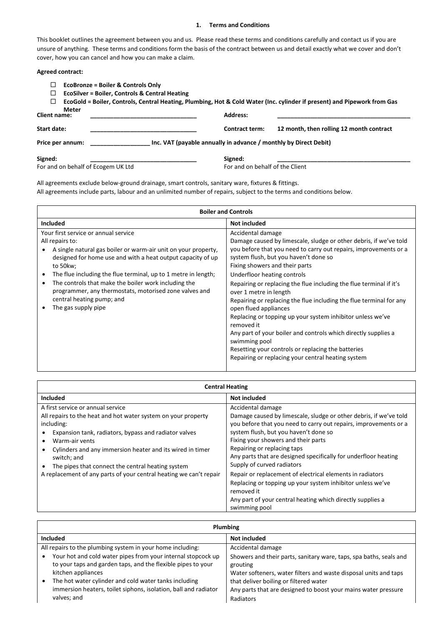# **1. Terms and Conditions**

This booklet outlines the agreement between you and us. Please read these terms and conditions carefully and contact us if you are unsure of anything. These terms and conditions form the basis of the contract between us and detail exactly what we cover and don't cover, how you can cancel and how you can make a claim.

# **Agreed contract:**

| <b>EcoBronze = Boiler &amp; Controls Only</b><br>⊔<br><b>EcoSilver = Boiler, Controls &amp; Central Heating</b><br>⊔<br>$\Box$<br>Meter |                                                                  | EcoGold = Boiler, Controls, Central Heating, Plumbing, Hot & Cold Water (Inc. cylinder if present) and Pipework from Gas |
|-----------------------------------------------------------------------------------------------------------------------------------------|------------------------------------------------------------------|--------------------------------------------------------------------------------------------------------------------------|
| <b>Client name:</b>                                                                                                                     | <b>Address:</b>                                                  |                                                                                                                          |
| Start date:                                                                                                                             | <b>Contract term:</b>                                            | 12 month, then rolling 12 month contract                                                                                 |
| Price per annum:                                                                                                                        | Inc. VAT (payable annually in advance / monthly by Direct Debit) |                                                                                                                          |
| Signed:                                                                                                                                 | Signed:                                                          |                                                                                                                          |
| For and on behalf of Ecogem UK Ltd                                                                                                      | For and on behalf of the Client                                  |                                                                                                                          |

All agreements exclude below-ground drainage, smart controls, sanitary ware, fixtures & fittings. All agreements include parts, labour and an unlimited number of repairs, subject to the terms and conditions below.

| <b>Boiler and Controls</b>                                                                                                                                                                                                                                                                                                                                                                                                                             |                                                                                                                                                                                                                                                                                                                                                                                                                                                                                                                                                                                                                                                                                            |  |  |
|--------------------------------------------------------------------------------------------------------------------------------------------------------------------------------------------------------------------------------------------------------------------------------------------------------------------------------------------------------------------------------------------------------------------------------------------------------|--------------------------------------------------------------------------------------------------------------------------------------------------------------------------------------------------------------------------------------------------------------------------------------------------------------------------------------------------------------------------------------------------------------------------------------------------------------------------------------------------------------------------------------------------------------------------------------------------------------------------------------------------------------------------------------------|--|--|
| <b>Included</b>                                                                                                                                                                                                                                                                                                                                                                                                                                        | Not included                                                                                                                                                                                                                                                                                                                                                                                                                                                                                                                                                                                                                                                                               |  |  |
| Your first service or annual service<br>All repairs to:<br>A single natural gas boiler or warm-air unit on your property,<br>designed for home use and with a heat output capacity of up<br>to 50kw;<br>The flue including the flue terminal, up to 1 metre in length;<br>٠<br>The controls that make the boiler work including the<br>٠<br>programmer, any thermostats, motorised zone valves and<br>central heating pump; and<br>The gas supply pipe | Accidental damage<br>Damage caused by limescale, sludge or other debris, if we've told<br>you before that you need to carry out repairs, improvements or a<br>system flush, but you haven't done so<br>Fixing showers and their parts<br>Underfloor heating controls<br>Repairing or replacing the flue including the flue terminal if it's<br>over 1 metre in length<br>Repairing or replacing the flue including the flue terminal for any<br>open flued appliances<br>Replacing or topping up your system inhibitor unless we've<br>removed it<br>Any part of your boiler and controls which directly supplies a<br>swimming pool<br>Resetting your controls or replacing the batteries |  |  |
|                                                                                                                                                                                                                                                                                                                                                                                                                                                        | Repairing or replacing your central heating system                                                                                                                                                                                                                                                                                                                                                                                                                                                                                                                                                                                                                                         |  |  |

| <b>Central Heating</b>                                                                                                                                                                                                                                                                                                                                                                             |                                                                                                                                                                                                                                                                                                                                                                                                                                         |  |  |
|----------------------------------------------------------------------------------------------------------------------------------------------------------------------------------------------------------------------------------------------------------------------------------------------------------------------------------------------------------------------------------------------------|-----------------------------------------------------------------------------------------------------------------------------------------------------------------------------------------------------------------------------------------------------------------------------------------------------------------------------------------------------------------------------------------------------------------------------------------|--|--|
| Included                                                                                                                                                                                                                                                                                                                                                                                           | Not included                                                                                                                                                                                                                                                                                                                                                                                                                            |  |  |
| A first service or annual service<br>All repairs to the heat and hot water system on your property<br>including:<br>Expansion tank, radiators, bypass and radiator valves<br>Warm-air vents<br>Cylinders and any immersion heater and its wired in timer<br>switch; and<br>The pipes that connect the central heating system<br>A replacement of any parts of your central heating we can't repair | Accidental damage<br>Damage caused by limescale, sludge or other debris, if we've told<br>you before that you need to carry out repairs, improvements or a<br>system flush, but you haven't done so<br>Fixing your showers and their parts<br>Repairing or replacing taps<br>Any parts that are designed specifically for underfloor heating<br>Supply of curved radiators<br>Repair or replacement of electrical elements in radiators |  |  |
|                                                                                                                                                                                                                                                                                                                                                                                                    | Replacing or topping up your system inhibitor unless we've<br>removed it<br>Any part of your central heating which directly supplies a<br>swimming pool                                                                                                                                                                                                                                                                                 |  |  |

| <b>Plumbing</b>                                                                                                                                                                                                                                                                |                                                                                                                                                                                                                                                                |  |
|--------------------------------------------------------------------------------------------------------------------------------------------------------------------------------------------------------------------------------------------------------------------------------|----------------------------------------------------------------------------------------------------------------------------------------------------------------------------------------------------------------------------------------------------------------|--|
| <b>Included</b>                                                                                                                                                                                                                                                                | Not included                                                                                                                                                                                                                                                   |  |
| All repairs to the plumbing system in your home including:                                                                                                                                                                                                                     | Accidental damage                                                                                                                                                                                                                                              |  |
| Your hot and cold water pipes from your internal stopcock up<br>to your taps and garden taps, and the flexible pipes to your<br>kitchen appliances<br>The hot water cylinder and cold water tanks including<br>immersion heaters, toilet siphons, isolation, ball and radiator | Showers and their parts, sanitary ware, taps, spa baths, seals and<br>grouting<br>Water softeners, water filters and waste disposal units and taps<br>that deliver boiling or filtered water<br>Any parts that are designed to boost your mains water pressure |  |
| valves; and                                                                                                                                                                                                                                                                    | Radiators                                                                                                                                                                                                                                                      |  |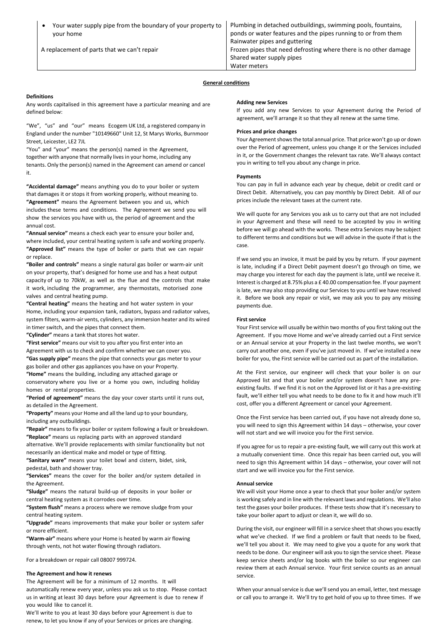| Your water supply pipe from the boundary of your property to<br>your home | Plumbing in detached outbuildings, swimming pools, fountains,<br>ponds or water features and the pipes running to or from them<br>Rainwater pipes and guttering |
|---------------------------------------------------------------------------|-----------------------------------------------------------------------------------------------------------------------------------------------------------------|
| A replacement of parts that we can't repair                               | Frozen pipes that need defrosting where there is no other damage<br>Shared water supply pipes                                                                   |
|                                                                           | Water meters                                                                                                                                                    |

# **General conditions**

### **Definitions**

Any words capitalised in this agreement have a particular meaning and are defined below:

"We", "us" and "our" means Ecogem UK Ltd, a registered company in England under the number "10149660" Unit 12, St Marys Works, Burnmoor Street, Leicester, LE2 7JL

"You" and "your" means the person(s) named in the Agreement, together with anyone that normally lives in your home, including any tenants. Only the person(s) named in the Agreement can amend or cancel it.

**"Accidental damage"** means anything you do to your boiler or system that damages it or stops it from working properly, without meaning to. **"Agreement"** means the Agreement between you and us, which includes these terms and conditions. The Agreement we send you will show the services you have with us, the period of agreement and the annual cost.

**"Annual service"** means a check each year to ensure your boiler and, where included, your central heating system is safe and working properly. **"Approved list"** means the type of boiler or parts that we can repair or replace.

**"Boiler and controls"** means a single natural gas boiler or warm-air unit on your property, that's designed for home use and has a heat output capacity of up to 70kW, as well as the flue and the controls that make it work, including the programmer, any thermostats, motorised zone valves and central heating pump.

**"Central heating"** means the heating and hot water system in your Home, including your expansion tank, radiators, bypass and radiator valves, system filters, warm-air vents, cylinders, any immersion heater and its wired in timer switch, and the pipes that connect them.

**"Cylinder"** means a tank that stores hot water.

**"First service"** means our visit to you after you first enter into an Agreement with us to check and confirm whether we can cover you. **"Gas supply pipe"** means the pipe that connects your gas meter to your

gas boiler and other gas appliances you have on your Property. **"Home"** means the building, including any attached garage or conservatory where you live or a home you own, including holiday

homes or rental properties.

**"Period of agreement"** means the day your cover starts until it runs out, as detailed in the Agreement.

**"Property"** means your Home and all the land up to your boundary, including any outbuildings.

**"Repair"** means to fix your boiler or system following a fault or breakdown. **"Replace"** means us replacing parts with an approved standard alternative. We'll provide replacements with similar functionality but not

necessarily an identical make and model or type of fitting.

**"Sanitary ware"** means your toilet bowl and cistern, bidet, sink, pedestal, bath and shower tray.

**"Services"** means the cover for the boiler and/or system detailed in the Agreement.

**"Sludge"** means the natural build-up of deposits in your boiler or central heating system as it corrodes over time.

**"System flush"** means a process where we remove sludge from your central heating system.

**"Upgrade"** means improvements that make your boiler or system safer or more efficient.

**"Warm-air"** means where your Home is heated by warm air flowing through vents, not hot water flowing through radiators.

For a breakdown or repair call 08007 999724.

### **The Agreement and how it renews**

The Agreement will be for a minimum of 12 months. It will automatically renew every year, unless you ask us to stop. Please contact us in writing at least 30 days before your Agreement is due to renew if you would like to cancel it.

We'll write to you at least 30 days before your Agreement is due to renew, to let you know if any of your Services or prices are changing.

# **Adding new Services**

If you add any new Services to your Agreement during the Period of agreement, we'll arrange it so that they all renew at the same time.

### **Prices and price changes**

Your Agreement shows the total annual price. That price won't go up or down over the Period of agreement, unless you change it or the Services included in it, or the Government changes the relevant tax rate. We'll always contact you in writing to tell you about any change in price.

### **Payments**

You can pay in full in advance each year by cheque, debit or credit card or Direct Debit. Alternatively, you can pay monthly by Direct Debit. All of our prices include the relevant taxes at the current rate.

We will quote for any Services you ask us to carry out that are not included in your Agreement and these will need to be accepted by you in writing before we will go ahead with the works. These extra Services may be subject to different terms and conditions but we will advise in the quote if that is the case.

If we send you an invoice, it must be paid by you by return. If your payment is late, including if a Direct Debit payment doesn't go through on time, we may charge you interest for each day the payment is late, until we receive it. Interest is charged at 8.75% plus a £ 40.00 compensation fee. If your payment is late, we may also stop providing our Services to you until we have received it. Before we book any repair or visit, we may ask you to pay any missing payments due.

### **First service**

Your First service will usually be within two months of you first taking out the Agreement. If you move Home and we've already carried out a First service or an Annual service at your Property in the last twelve months, we won't carry out another one, even if you've just moved in. If we've installed a new boiler for you, the First service will be carried out as part of the installation.

At the First service, our engineer will check that your boiler is on our Approved list and that your boiler and/or system doesn't have any preexisting faults. If we find it is not on the Approved list or it has a pre-existing fault, we'll either tell you what needs to be done to fix it and how much it'll cost, offer you a different Agreement or cancel your Agreement.

Once the First service has been carried out, if you have not already done so, you will need to sign this Agreement within 14 days – otherwise, your cover will not start and we will invoice you for the First service.

If you agree for us to repair a pre-existing fault, we will carry out this work at a mutually convenient time. Once this repair has been carried out, you will need to sign this Agreement within 14 days – otherwise, your cover will not start and we will invoice you for the First service.

#### **Annual service**

We will visit your Home once a year to check that your boiler and/or system is working safely and in line with the relevant laws and regulations. We'll also test the gases your boiler produces. If these tests show that it's necessary to take your boiler apart to adjust or clean it, we will do so.

During the visit, our engineer will fill in a service sheet that shows you exactly what we've checked. If we find a problem or fault that needs to be fixed, we'll tell you about it. We may need to give you a quote for any work that needs to be done. Our engineer will ask you to sign the service sheet. Please keep service sheets and/or log books with the boiler so our engineer can review them at each Annual service. Your first service counts as an annual service.

When your annual service is due we'll send you an email, letter, text message or call you to arrange it. We'll try to get hold of you up to three times. If we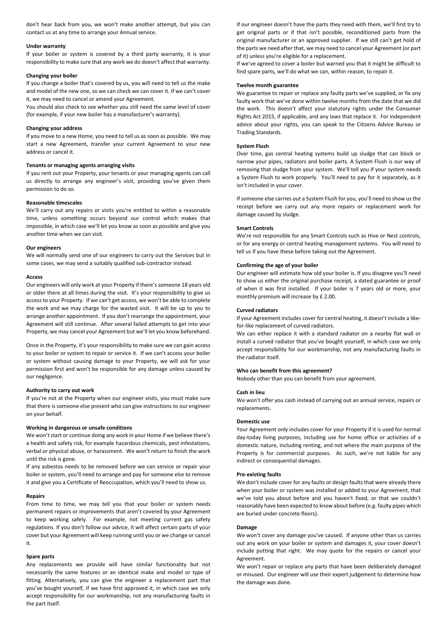don't hear back from you, we won't make another attempt, but you can contact us at any time to arrange your Annual service.

### **Under warranty**

If your boiler or system is covered by a third party warranty, it is your responsibility to make sure that any work we do doesn't affect that warranty.

### **Changing your boiler**

If you change a boiler that's covered by us, you will need to tell us the make and model of the new one, so we can check we can cover it. If we can't cover it, we may need to cancel or amend your Agreement.

You should also check to see whether you still need the same level of cover (for example, if your new boiler has a manufacturer's warranty).

### **Changing your address**

If you move to a new Home, you need to tell us as soon as possible. We may start a new Agreement, transfer your current Agreement to your new address or cancel it.

### **Tenants or managing agents arranging visits**

If you rent out your Property, your tenants or your managing agents can call us directly to arrange any engineer's visit, providing you've given them permission to do so.

#### **Reasonable timescales**

We'll carry out any repairs or visits you're entitled to within a reasonable time, unless something occurs beyond our control which makes that impossible, in which case we'll let you know as soon as possible and give you another time when we can visit.

### **Our engineers**

We will normally send one of our engineers to carry out the Services but in some cases, we may send a suitably qualified sub-contractor instead.

#### **Access**

Our engineers will only work at your Property if there's someone 18 years old or older there at all times during the visit. It's your responsibility to give us access to your Property. If we can't get access, we won't be able to complete the work and we may charge for the wasted visit. It will be up to you to arrange another appointment. If you don't rearrange the appointment, your Agreement will still continue. After several failed attempts to get into your Property, we may cancel your Agreement but we'll let you know beforehand.

Once in the Property, it's your responsibility to make sure we can gain access to your boiler or system to repair or service it. If we can't access your boiler or system without causing damage to your Property, we will ask for your permission first and won't be responsible for any damage unless caused by our negligence.

### **Authority to carry out work**

If you're not at the Property when our engineer visits, you must make sure that there is someone else present who can give instructions to our engineer on your behalf.

# **Working in dangerous or unsafe conditions**

We won't start or continue doing any work in your Home if we believe there's a health and safety risk, for example hazardous chemicals, pest infestations, verbal or physical abuse, or harassment. We won't return to finish the work until the risk is gone.

If any asbestos needs to be removed before we can service or repair your boiler or system, you'll need to arrange and pay for someone else to remove it and give you a Certificate of Reoccupation, which you'll need to show us.

### **Repairs**

From time to time, we may tell you that your boiler or system needs permanent repairs or improvements that aren't covered by your Agreement to keep working safely. For example, not meeting current gas safety regulations. If you don't follow our advice, it will affect certain parts of your cover but your Agreement will keep running until you or we change or cancel it.

### **Spare parts**

Any replacements we provide will have similar functionality but not necessarily the same features or an identical make and model or type of fitting. Alternatively, you can give the engineer a replacement part that you've bought yourself, if we have first approved it, in which case we only accept responsibility for our workmanship, not any manufacturing faults in the part itself.

If our engineer doesn't have the parts they need with them, we'll first try to get original parts or if that isn't possible, reconditioned parts from the original manufacturer or an approved supplier. If we still can't get hold of the parts we need after that, we may need to cancel your Agreement (or part of it) unless you're eligible for a replacement.

If we've agreed to cover a boiler but warned you that it might be difficult to find spare parts, we'll do what we can, within reason, to repair it.

### **Twelve month guarantee**

We guarantee to repair or replace any faulty parts we've supplied, or fix any faulty work that we've done within twelve months from the date that we did the work. This doesn't affect your statutory rights under the Consumer Rights Act 2015, if applicable, and any laws that replace it. For independent advice about your rights, you can speak to the Citizens Advice Bureau or Trading Standards.

### **System Flush**

Over time, gas central heating systems build up sludge that can block or narrow your pipes, radiators and boiler parts. A System Flush is our way of removing that sludge from your system. We'll tell you if your system needs a System Flush to work properly. You'll need to pay for it separately, as it isn't included in your cover.

If someone else carries out a System Flush for you, you'll need to show us the receipt before we carry out any more repairs or replacement work for damage caused by sludge.

#### **Smart Controls**

We're not responsible for any Smart Controls such as Hive or Nest controls, or for any energy or central heating management systems. You will need to tell us if you have these before taking out the Agreement.

# **Confirming the age of your boiler**

Our engineer will estimate how old your boiler is. If you disagree you'll need to show us either the original purchase receipt, a dated guarantee or proof of when it was first installed. If your boiler is 7 years old or more, your monthly premium will increase by £ 2.00.

### **Curved radiators**

If your Agreement includes cover for central heating, it doesn't include a likefor-like replacement of curved radiators.

We can either replace it with a standard radiator on a nearby flat wall or install a curved radiator that you've bought yourself, in which case we only accept responsibility for our workmanship, not any manufacturing faults in the radiator itself.

# **Who can benefit from this agreement?**

Nobody other than you can benefit from your agreement.

### **Cash in lieu**

We won't offer you cash instead of carrying out an annual service, repairs or replacements.

### **Domestic use**

Your Agreement only includes cover for your Property if it is used for normal day-today living purposes, including use for home office or activities of a domestic nature, including renting, and not where the main purpose of the Property is for commercial purposes. As such, we're not liable for any indirect or consequential damages.

# **Pre-existing faults**

We don't include cover for any faults or design faults that were already there when your boiler or system was installed or added to your Agreement, that we've told you about before and you haven't fixed, or that we couldn't reasonably have been expected to know about before (e.g. faulty pipes which are buried under concrete floors).

#### **Damage**

We won't cover any damage you've caused. If anyone other than us carries out any work on your boiler or system and damages it, your cover doesn't include putting that right. We may quote for the repairs or cancel your Agreement.

We won't repair or replace any parts that have been deliberately damaged or misused. Our engineer will use their expert judgement to determine how the damage was done.